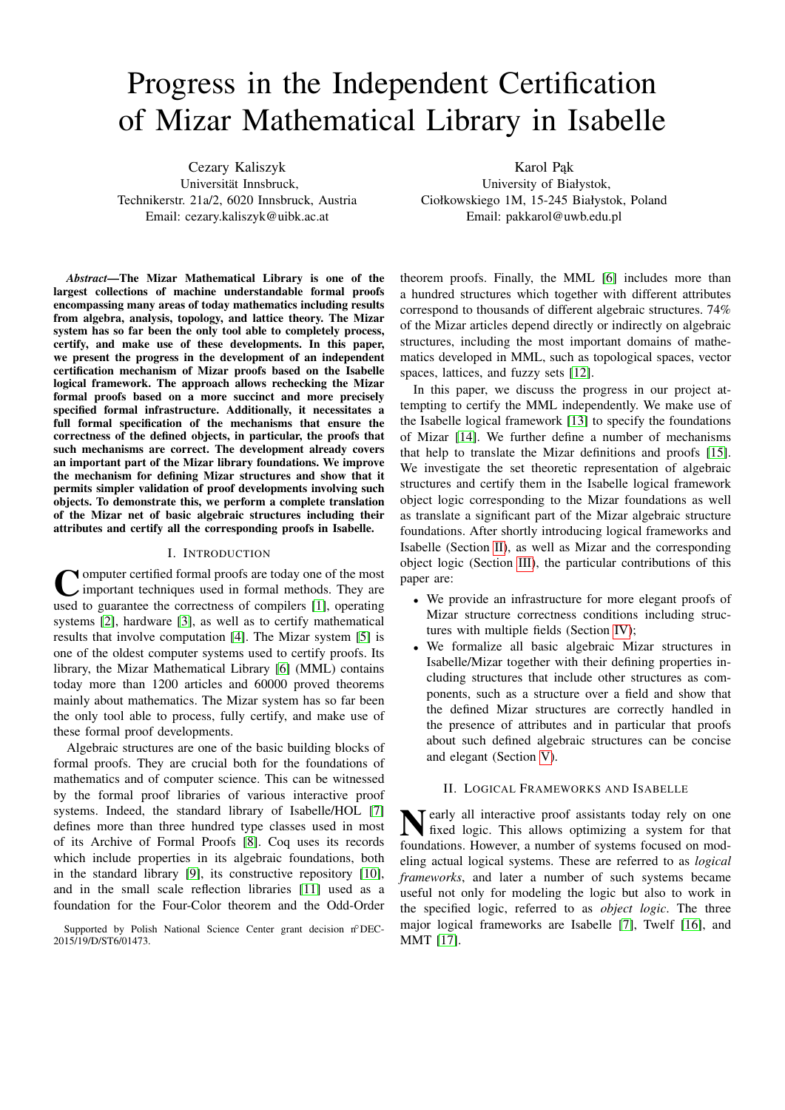# Progress in the Independent Certification of Mizar Mathematical Library in Isabelle

Cezary Kaliszyk Universität Innsbruck, Technikerstr. 21a/2, 6020 Innsbruck, Austria Email: cezary.kaliszyk@uibk.ac.at

*Abstract*—The Mizar Mathematical Library is one of the largest collections of machine understandable formal proofs encompassing many areas of today mathematics including results from algebra, analysis, topology, and lattice theory. The Mizar system has so far been the only tool able to completely process, certify, and make use of these developments. In this paper, we present the progress in the development of an independent certification mechanism of Mizar proofs based on the Isabelle logical framework. The approach allows rechecking the Mizar formal proofs based on a more succinct and more precisely specified formal infrastructure. Additionally, it necessitates a full formal specification of the mechanisms that ensure the correctness of the defined objects, in particular, the proofs that such mechanisms are correct. The development already covers an important part of the Mizar library foundations. We improve the mechanism for defining Mizar structures and show that it permits simpler validation of proof developments involving such objects. To demonstrate this, we perform a complete translation of the Mizar net of basic algebraic structures including their attributes and certify all the corresponding proofs in Isabelle.

#### I. INTRODUCTION

**C** omputer certified formal proofs are today one of the most important techniques used in formal methods. They are used to guarantee the correctness of compilers [\[1\]](#page-8-0), operating omputer certified formal proofs are today one of the most important techniques used in formal methods. They are systems [\[2\]](#page-8-1), hardware [\[3\]](#page-8-2), as well as to certify mathematical results that involve computation [\[4\]](#page-8-3). The Mizar system [\[5\]](#page-8-4) is one of the oldest computer systems used to certify proofs. Its library, the Mizar Mathematical Library [\[6\]](#page-8-5) (MML) contains today more than 1200 articles and 60000 proved theorems mainly about mathematics. The Mizar system has so far been the only tool able to process, fully certify, and make use of these formal proof developments.

Algebraic structures are one of the basic building blocks of formal proofs. They are crucial both for the foundations of mathematics and of computer science. This can be witnessed by the formal proof libraries of various interactive proof systems. Indeed, the standard library of Isabelle/HOL [\[7\]](#page-8-6) defines more than three hundred type classes used in most of its Archive of Formal Proofs [\[8\]](#page-8-7). Coq uses its records which include properties in its algebraic foundations, both in the standard library [\[9\]](#page-8-8), its constructive repository [\[10\]](#page-8-9), and in the small scale reflection libraries [\[11\]](#page-8-10) used as a foundation for the Four-Color theorem and the Odd-Order

Karol Pak University of Białystok, Ciołkowskiego 1M, 15-245 Białystok, Poland Email: pakkarol@uwb.edu.pl

theorem proofs. Finally, the MML [\[6\]](#page-8-5) includes more than a hundred structures which together with different attributes correspond to thousands of different algebraic structures. 74% of the Mizar articles depend directly or indirectly on algebraic structures, including the most important domains of mathematics developed in MML, such as topological spaces, vector spaces, lattices, and fuzzy sets [\[12\]](#page-8-11).

In this paper, we discuss the progress in our project attempting to certify the MML independently. We make use of the Isabelle logical framework [\[13\]](#page-8-12) to specify the foundations of Mizar [\[14\]](#page-8-13). We further define a number of mechanisms that help to translate the Mizar definitions and proofs [\[15\]](#page-8-14). We investigate the set theoretic representation of algebraic structures and certify them in the Isabelle logical framework object logic corresponding to the Mizar foundations as well as translate a significant part of the Mizar algebraic structure foundations. After shortly introducing logical frameworks and Isabelle (Section [II\)](#page-0-0), as well as Mizar and the corresponding object logic (Section [III\)](#page-1-0), the particular contributions of this paper are:

- We provide an infrastructure for more elegant proofs of Mizar structure correctness conditions including structures with multiple fields (Section [IV\)](#page-2-0);
- We formalize all basic algebraic Mizar structures in Isabelle/Mizar together with their defining properties including structures that include other structures as components, such as a structure over a field and show that the defined Mizar structures are correctly handled in the presence of attributes and in particular that proofs about such defined algebraic structures can be concise and elegant (Section [V\)](#page-4-0).

#### II. LOGICAL FRAMEWORKS AND ISABELLE

<span id="page-0-0"></span>**N** early all interactive proof assistants today rely on one<br>fixed logic. This allows optimizing a system for that fixed logic. This allows optimizing a system for that foundations. However, a number of systems focused on modeling actual logical systems. These are referred to as *logical frameworks*, and later a number of such systems became useful not only for modeling the logic but also to work in the specified logic, referred to as *object logic*. The three major logical frameworks are Isabelle [\[7\]](#page-8-6), Twelf [\[16\]](#page-8-15), and MMT [\[17\]](#page-8-16).

Supported by Polish National Science Center grant decision n°DEC-2015/19/D/ST6/01473.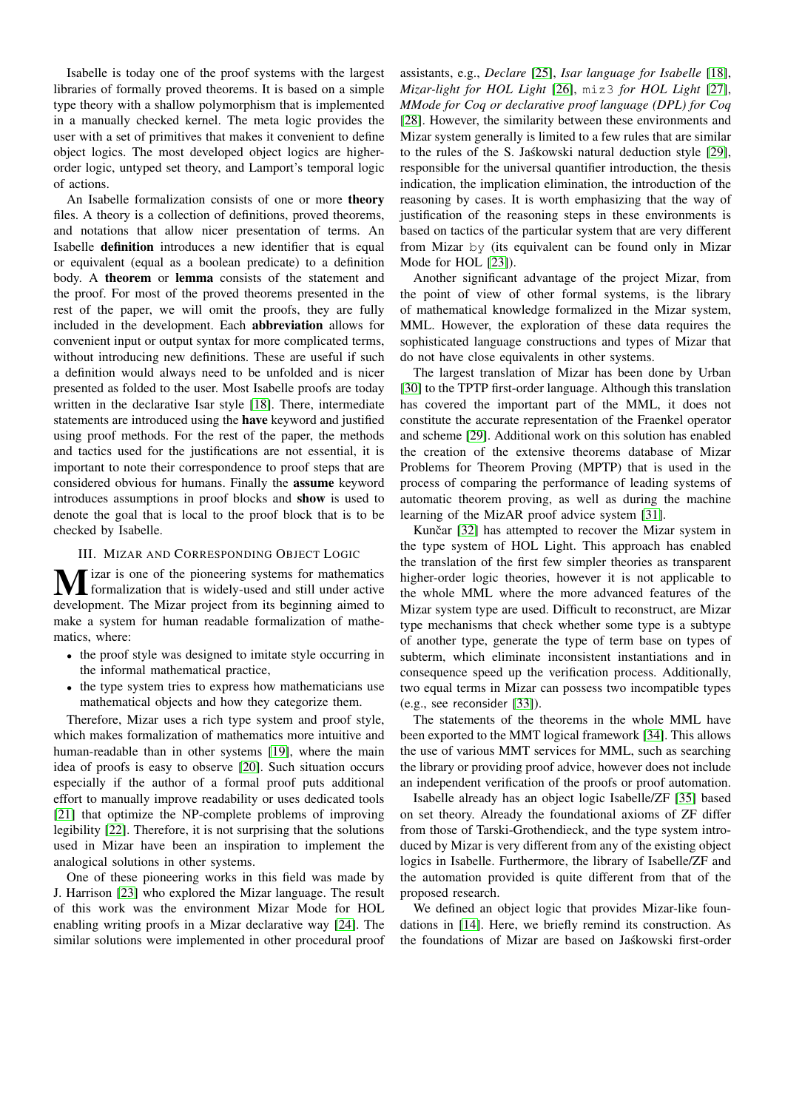Isabelle is today one of the proof systems with the largest libraries of formally proved theorems. It is based on a simple type theory with a shallow polymorphism that is implemented in a manually checked kernel. The meta logic provides the user with a set of primitives that makes it convenient to define object logics. The most developed object logics are higherorder logic, untyped set theory, and Lamport's temporal logic of actions.

An Isabelle formalization consists of one or more theory files. A theory is a collection of definitions, proved theorems, and notations that allow nicer presentation of terms. An Isabelle definition introduces a new identifier that is equal or equivalent (equal as a boolean predicate) to a definition body. A theorem or lemma consists of the statement and the proof. For most of the proved theorems presented in the rest of the paper, we will omit the proofs, they are fully included in the development. Each abbreviation allows for convenient input or output syntax for more complicated terms, without introducing new definitions. These are useful if such a definition would always need to be unfolded and is nicer presented as folded to the user. Most Isabelle proofs are today written in the declarative Isar style [\[18\]](#page-8-17). There, intermediate statements are introduced using the have keyword and justified using proof methods. For the rest of the paper, the methods and tactics used for the justifications are not essential, it is important to note their correspondence to proof steps that are considered obvious for humans. Finally the assume keyword introduces assumptions in proof blocks and show is used to denote the goal that is local to the proof block that is to be checked by Isabelle.

#### III. MIZAR AND CORRESPONDING OBJECT LOGIC

<span id="page-1-0"></span>**M** izar is one of the pioneering systems for mathematics<br>formalization that is widely-used and still under active<br>daughave the Miner project from its beginning simed to development. The Mizar project from its beginning aimed to make a system for human readable formalization of mathematics, where:

- the proof style was designed to imitate style occurring in the informal mathematical practice,
- the type system tries to express how mathematicians use mathematical objects and how they categorize them.

Therefore, Mizar uses a rich type system and proof style, which makes formalization of mathematics more intuitive and human-readable than in other systems [\[19\]](#page-8-18), where the main idea of proofs is easy to observe [\[20\]](#page-8-19). Such situation occurs especially if the author of a formal proof puts additional effort to manually improve readability or uses dedicated tools [\[21\]](#page-8-20) that optimize the NP-complete problems of improving legibility [\[22\]](#page-8-21). Therefore, it is not surprising that the solutions used in Mizar have been an inspiration to implement the analogical solutions in other systems.

One of these pioneering works in this field was made by J. Harrison [\[23\]](#page-8-22) who explored the Mizar language. The result of this work was the environment Mizar Mode for HOL enabling writing proofs in a Mizar declarative way [\[24\]](#page-8-23). The similar solutions were implemented in other procedural proof

assistants, e.g., *Declare* [\[25\]](#page-8-24), *Isar language for Isabelle* [\[18\]](#page-8-17), *Mizar-light for HOL Light* [\[26\]](#page-8-25), miz3 *for HOL Light* [\[27\]](#page-8-26), *MMode for Coq or declarative proof language (DPL) for Coq* [\[28\]](#page-8-27). However, the similarity between these environments and Mizar system generally is limited to a few rules that are similar to the rules of the S. Jaskowski natural deduction style [\[29\]](#page-8-28), responsible for the universal quantifier introduction, the thesis indication, the implication elimination, the introduction of the reasoning by cases. It is worth emphasizing that the way of justification of the reasoning steps in these environments is based on tactics of the particular system that are very different from Mizar by (its equivalent can be found only in Mizar Mode for HOL [\[23\]](#page-8-22)).

Another significant advantage of the project Mizar, from the point of view of other formal systems, is the library of mathematical knowledge formalized in the Mizar system, MML. However, the exploration of these data requires the sophisticated language constructions and types of Mizar that do not have close equivalents in other systems.

The largest translation of Mizar has been done by Urban [\[30\]](#page-8-29) to the TPTP first-order language. Although this translation has covered the important part of the MML, it does not constitute the accurate representation of the Fraenkel operator and scheme [\[29\]](#page-8-28). Additional work on this solution has enabled the creation of the extensive theorems database of Mizar Problems for Theorem Proving (MPTP) that is used in the process of comparing the performance of leading systems of automatic theorem proving, as well as during the machine learning of the MizAR proof advice system [\[31\]](#page-8-30).

Kunčar [\[32\]](#page-8-31) has attempted to recover the Mizar system in the type system of HOL Light. This approach has enabled the translation of the first few simpler theories as transparent higher-order logic theories, however it is not applicable to the whole MML where the more advanced features of the Mizar system type are used. Difficult to reconstruct, are Mizar type mechanisms that check whether some type is a subtype of another type, generate the type of term base on types of subterm, which eliminate inconsistent instantiations and in consequence speed up the verification process. Additionally, two equal terms in Mizar can possess two incompatible types (e.g., see reconsider [\[33\]](#page-9-0)).

The statements of the theorems in the whole MML have been exported to the MMT logical framework [\[34\]](#page-9-1). This allows the use of various MMT services for MML, such as searching the library or providing proof advice, however does not include an independent verification of the proofs or proof automation.

Isabelle already has an object logic Isabelle/ZF [\[35\]](#page-9-2) based on set theory. Already the foundational axioms of ZF differ from those of Tarski-Grothendieck, and the type system introduced by Mizar is very different from any of the existing object logics in Isabelle. Furthermore, the library of Isabelle/ZF and the automation provided is quite different from that of the proposed research.

We defined an object logic that provides Mizar-like foundations in [\[14\]](#page-8-13). Here, we briefly remind its construction. As the foundations of Mizar are based on Jaskowski first-order ´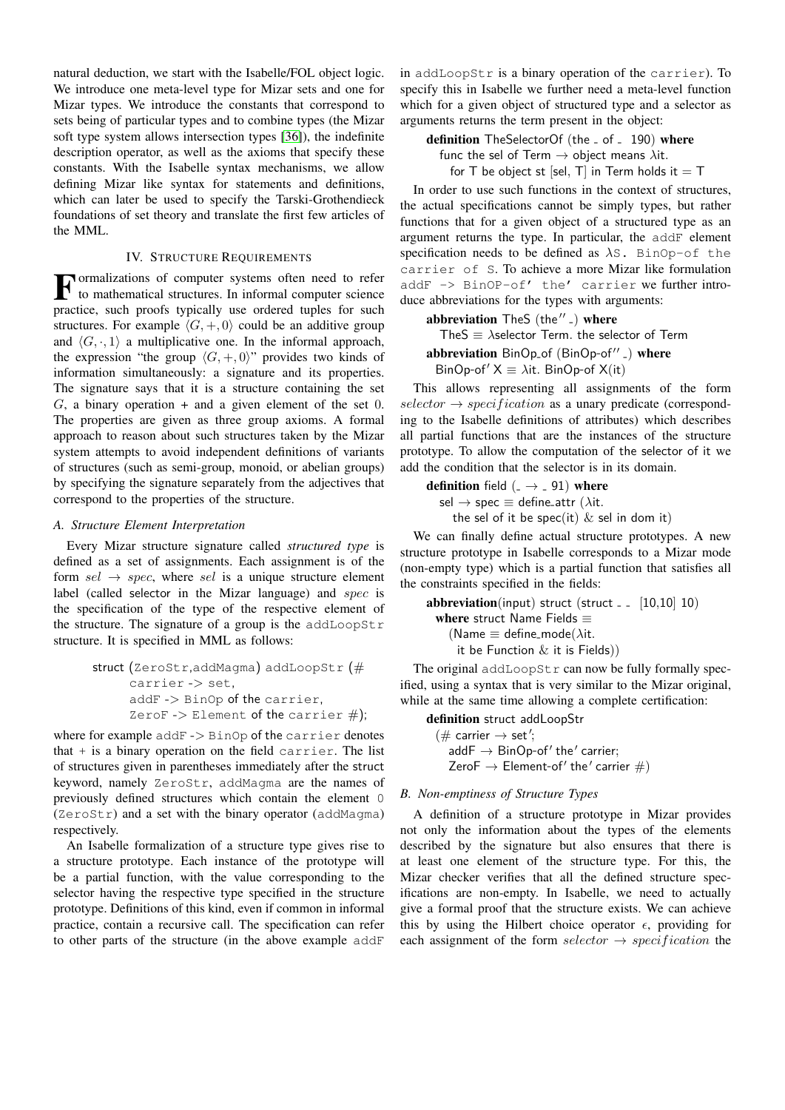natural deduction, we start with the Isabelle/FOL object logic. We introduce one meta-level type for Mizar sets and one for Mizar types. We introduce the constants that correspond to sets being of particular types and to combine types (the Mizar soft type system allows intersection types [\[36\]](#page-9-3)), the indefinite description operator, as well as the axioms that specify these constants. With the Isabelle syntax mechanisms, we allow defining Mizar like syntax for statements and definitions, which can later be used to specify the Tarski-Grothendieck foundations of set theory and translate the first few articles of the MML.

#### IV. STRUCTURE REQUIREMENTS

<span id="page-2-0"></span>F ormalizations of computer systems often need to refer<br>to mathematical structures. In informal computer science to mathematical structures. In informal computer science practice, such proofs typically use ordered tuples for such structures. For example  $\langle G, +, 0 \rangle$  could be an additive group and  $\langle G, \cdot, 1 \rangle$  a multiplicative one. In the informal approach, the expression "the group  $\langle G, +, 0 \rangle$ " provides two kinds of information simultaneously: a signature and its properties. The signature says that it is a structure containing the set  $G$ , a binary operation + and a given element of the set 0. The properties are given as three group axioms. A formal approach to reason about such structures taken by the Mizar system attempts to avoid independent definitions of variants of structures (such as semi-group, monoid, or abelian groups) by specifying the signature separately from the adjectives that correspond to the properties of the structure.

#### *A. Structure Element Interpretation*

Every Mizar structure signature called *structured type* is defined as a set of assignments. Each assignment is of the form  $sel \rightarrow spec$ , where sel is a unique structure element label (called selector in the Mizar language) and spec is the specification of the type of the respective element of the structure. The signature of a group is the addLoopStr structure. It is specified in MML as follows:

struct (ZeroStr,addMagma) addLoopStr (# carrier -> set, addF -> BinOp of the carrier, ZeroF -> Element of the carrier #);

where for example addF -> BinOp of the carrier denotes that  $+$  is a binary operation on the field carrier. The list of structures given in parentheses immediately after the struct keyword, namely ZeroStr, addMagma are the names of previously defined structures which contain the element 0 (ZeroStr) and a set with the binary operator (addMagma) respectively.

An Isabelle formalization of a structure type gives rise to a structure prototype. Each instance of the prototype will be a partial function, with the value corresponding to the selector having the respective type specified in the structure prototype. Definitions of this kind, even if common in informal practice, contain a recursive call. The specification can refer to other parts of the structure (in the above example addF

in addLoopStr is a binary operation of the carrier). To specify this in Isabelle we further need a meta-level function which for a given object of structured type and a selector as arguments returns the term present in the object:

definition TheSelectorOf (the \_ of \_ 190) where func the sel of Term  $\rightarrow$  object means  $\lambda$ it. for T be object st [sel, T] in Term holds it  $=$  T

In order to use such functions in the context of structures, the actual specifications cannot be simply types, but rather functions that for a given object of a structured type as an argument returns the type. In particular, the addF element specification needs to be defined as  $\lambda$ S. BinOp-of the carrier of S. To achieve a more Mizar like formulation addF -> BinOP-of' the' carrier we further introduce abbreviations for the types with arguments:

abbreviation  $\text{TheS (the'' }_{-})$  where

TheS  $\equiv$   $\lambda$ selector Term. the selector of Term

abbreviation BinOp\_of (BinOp-of" \_) where BinOp-of'  $X \equiv \lambda$ it. BinOp-of X(it)

This allows representing all assignments of the form  $selector \rightarrow specification$  as a unary predicate (corresponding to the Isabelle definitions of attributes) which describes all partial functions that are the instances of the structure prototype. To allow the computation of the selector of it we add the condition that the selector is in its domain.

**definition** field  $($   $\rightarrow$   $\,$  91) where sel  $\rightarrow$  spec  $\equiv$  define-attr ( $\lambda$ it. the sel of it be spec(it)  $\&$  sel in dom it)

We can finally define actual structure prototypes. A new structure prototype in Isabelle corresponds to a Mizar mode (non-empty type) which is a partial function that satisfies all the constraints specified in the fields:

```
abbreviation(input) struct (struct \lbrack = [10,10] 10)
 where struct Name Fields \equiv(Name \equiv define_mode(\lambdait.
      it be Function & it is Fields))
```
The original  $addLoopStr$  can now be fully formally specified, using a syntax that is very similar to the Mizar original, while at the same time allowing a complete certification:

definition struct addLoopStr  $(\text{# carrier} \rightarrow \text{set}';$  $addF \rightarrow BinOp-of'$  the' carrier; ZeroF  $\rightarrow$  Element-of' the' carrier  $\#$ )

#### *B. Non-emptiness of Structure Types*

A definition of a structure prototype in Mizar provides not only the information about the types of the elements described by the signature but also ensures that there is at least one element of the structure type. For this, the Mizar checker verifies that all the defined structure specifications are non-empty. In Isabelle, we need to actually give a formal proof that the structure exists. We can achieve this by using the Hilbert choice operator  $\epsilon$ , providing for each assignment of the form selector  $\rightarrow$  specification the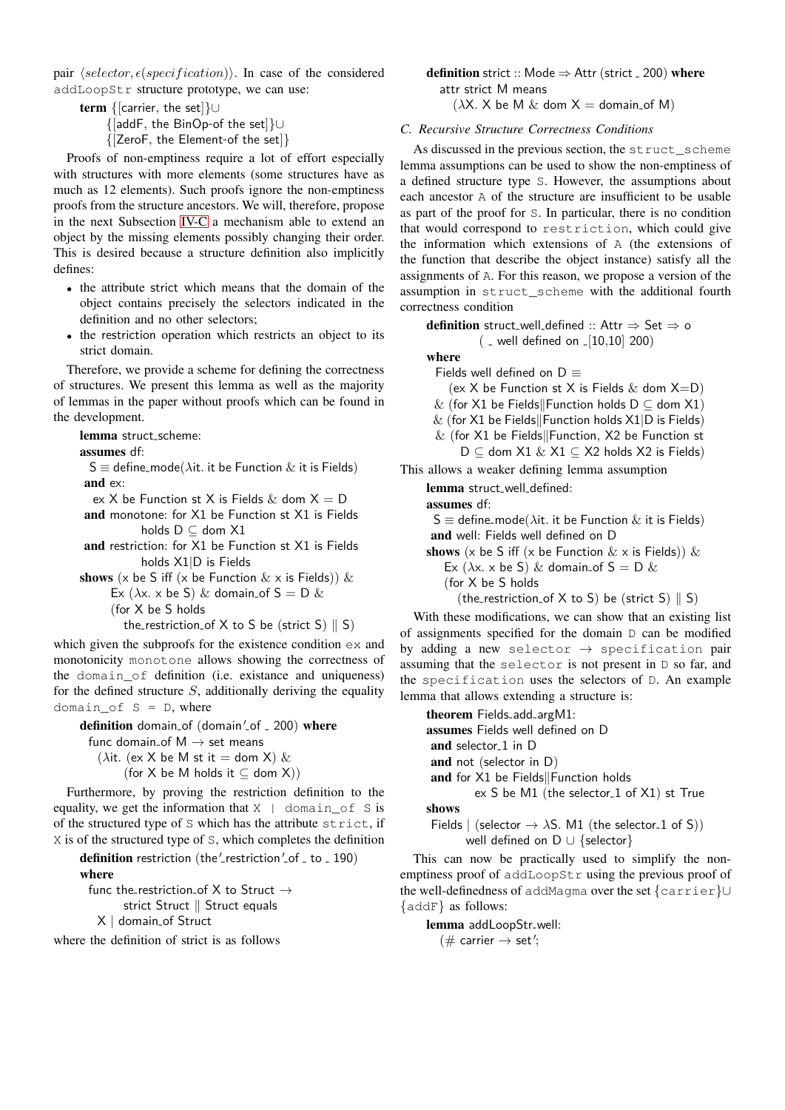pair  $\langle selector, \epsilon (specification) \rangle$ . In case of the considered addLoopStr structure prototype, we can use:

term {[carrier, the set]}∪ {[addF, the BinOp-of the set]}∪ {[ZeroF, the Element-of the set]}

Proofs of non-emptiness require a lot of effort especially with structures with more elements (some structures have as much as 12 elements). Such proofs ignore the non-emptiness proofs from the structure ancestors. We will, therefore, propose in the next Subsection [IV-C](#page-3-0) a mechanism able to extend an object by the missing elements possibly changing their order. This is desired because a structure definition also implicitly defines:

- the attribute strict which means that the domain of the object contains precisely the selectors indicated in the definition and no other selectors;
- the restriction operation which restricts an object to its strict domain.

Therefore, we provide a scheme for defining the correctness of structures. We present this lemma as well as the majority of lemmas in the paper without proofs which can be found in the development.

lemma struct-scheme:

assumes df:

 $S \equiv$  define\_mode( $\lambda$ it. it be Function  $\&$  it is Fields) and ex:

ex X be Function st X is Fields  $\&$  dom  $X = D$ 

and monotone: for X1 be Function st X1 is Fields holds D ⊆ dom X1

and restriction: for X1 be Function st X1 is Fields holds X1|D is Fields

shows (x be S iff (x be Function  $\&$  x is Fields))  $\&$ 

Ex ( $\lambda$ x. x be S) & domain\_of S = D &

(for X be S holds

the\_restriction\_of X to S be (strict S)  $\parallel$  S)

which given the subproofs for the existence condition  $ex$  and monotonicity monotone allows showing the correctness of the domain\_of definition (i.e. existance and uniqueness) for the defined structure  $S$ , additionally deriving the equality domain\_of  $S = D$ , where

definition domain\_of (domain'\_of \_ 200) where func domain\_of  $M \rightarrow$  set means ( $\lambda$ it. (ex X be M st it = dom X) &

(for X be M holds it  $\subseteq$  dom X))

Furthermore, by proving the restriction definition to the equality, we get the information that  $X \perp \text{domain\_of } S$  is of the structured type of S which has the attribute strict, if X is of the structured type of S, which completes the definition

definition restriction (the'\_restriction'\_of \_ to \_ 190) where

func the\_restriction\_of X to Struct  $\rightarrow$ strict Struct  $\parallel$  Struct equals X | domain-of Struct

where the definition of strict is as follows

**definition** strict :: Mode  $\Rightarrow$  Attr (strict  $=$  200) where attr strict M means

 $(\lambda X, X)$  be M & dom  $X =$  domain-of M)

### <span id="page-3-0"></span>*C. Recursive Structure Correctness Conditions*

As discussed in the previous section, the struct\_scheme lemma assumptions can be used to show the non-emptiness of a defined structure type S. However, the assumptions about each ancestor A of the structure are insufficient to be usable as part of the proof for S. In particular, there is no condition that would correspond to restriction, which could give the information which extensions of A (the extensions of the function that describe the object instance) satisfy all the assignments of A. For this reason, we propose a version of the assumption in struct\_scheme with the additional fourth correctness condition

definition struct\_well\_defined :: Attr  $\Rightarrow$  Set  $\Rightarrow$  o  $($   $\le$  well defined on  $\lfloor 10, 10 \rfloor$  200) where Fields well defined on  $D \equiv$ (ex X be Function st X is Fields  $\&$  dom  $X=$ D) & (for X1 be Fields Function holds  $D \subseteq$  dom X1)  $&$  (for X1 be Fields Function holds X1|D is Fields)  $&$  (for X1 be Fields||Function, X2 be Function st  $D \subseteq$  dom X1 & X1  $\subseteq$  X2 holds X2 is Fields) This allows a weaker defining lemma assumption lemma struct-well-defined: assumes df:  $S \equiv$  define\_mode( $\lambda$ it. it be Function  $\&$  it is Fields) and well: Fields well defined on D shows (x be S iff (x be Function  $\&$  x is Fields))  $\&$ Ex ( $\lambda$ x. x be S) & domain\_of S = D & (for X be S holds (the\_restriction\_of X to S) be (strict S)  $\parallel$  S)

With these modifications, we can show that an existing list of assignments specified for the domain D can be modified by adding a new selector  $\rightarrow$  specification pair assuming that the selector is not present in D so far, and the specification uses the selectors of D. An example lemma that allows extending a structure is:

theorem Fields-add-argM1: assumes Fields well defined on D and selector<sub>-1</sub> in D and not (selector in D) and for  $X1$  be Fields Function holds ex S be M1 (the selector<sub>-1</sub> of X1) st True shows Fields | (selector  $\rightarrow \lambda S$ . M1 (the selector<sub>-1</sub> of S))

well defined on D ∪ {selector}

This can now be practically used to simplify the nonemptiness proof of addLoopStr using the previous proof of the well-definedness of addMagma over the set {carrier}∪ {addF} as follows:

lemma addLoopStr-well:  $(\text{# carrier} \rightarrow \text{set}';$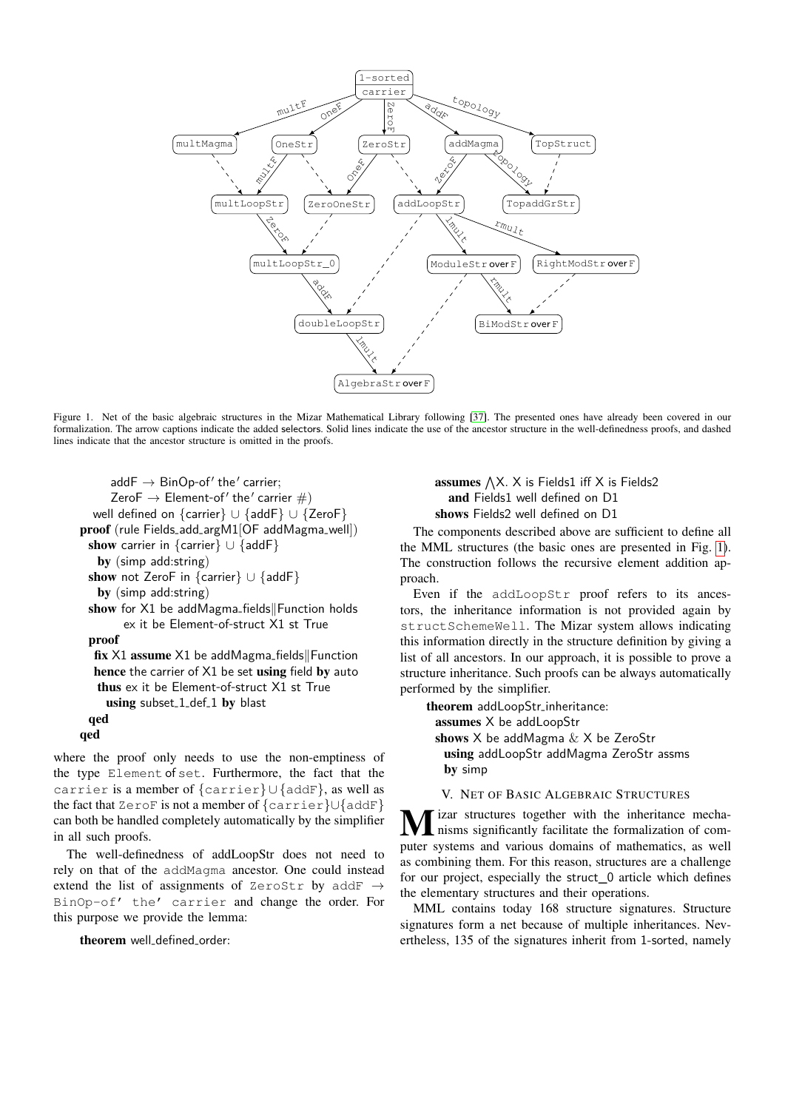

<span id="page-4-1"></span>Figure 1. Net of the basic algebraic structures in the Mizar Mathematical Library following [\[37\]](#page-9-4). The presented ones have already been covered in our formalization. The arrow captions indicate the added selectors. Solid lines indicate the use of the ancestor structure in the well-definedness proofs, and dashed lines indicate that the ancestor structure is omitted in the proofs.

```
addF \rightarrow BinOp-of' the' carrier;
      Zero\mathsf{F} \to \mathsf{Element}\text{-}\mathsf{of}' the' carrier \#)
  well defined on {carrier} ∪ {addF} ∪ {ZeroF}
proof (rule Fields-add-argM1[OF addMagma-well])
 show carrier in {carrier} ∪ {addF}
   by (simp add:string)
 show not ZeroF in {carrier} ∪ {addF}
   by (simp add:string)
 show for X1 be addMagma_fields Function holds
        ex it be Element-of-struct X1 st True
 proof
  fix X1 assume X1 be addMagma-fields Function
  hence the carrier of X1 be set using field by auto
   thus ex it be Element-of-struct X1 st True
     using subset<sub>-1-def-1</sub> by blast
 qed
qed
```
where the proof only needs to use the non-emptiness of the type Element of set. Furthermore, the fact that the carrier is a member of {carrier} ∪ {addF}, as well as the fact that ZeroF is not a member of {carrier}∪{addF} can both be handled completely automatically by the simplifier in all such proofs.

The well-definedness of addLoopStr does not need to rely on that of the addMagma ancestor. One could instead extend the list of assignments of ZeroStr by addF  $\rightarrow$ BinOp-of' the' carrier and change the order. For this purpose we provide the lemma:

theorem well-defined-order:

assumes  $\bigwedge X$ . X is Fields1 iff X is Fields2 and Fields1 well defined on D1 shows Fields2 well defined on D1

The components described above are sufficient to define all the MML structures (the basic ones are presented in Fig. [1\)](#page-4-1). The construction follows the recursive element addition approach.

Even if the addLoopStr proof refers to its ancestors, the inheritance information is not provided again by structSchemeWell. The Mizar system allows indicating this information directly in the structure definition by giving a list of all ancestors. In our approach, it is possible to prove a structure inheritance. Such proofs can be always automatically performed by the simplifier.

theorem addLoopStr-inheritance: assumes X be addLoopStr shows X be addMagma & X be ZeroStr using addLoopStr addMagma ZeroStr assms by simp

V. NET OF BASIC ALGEBRAIC STRUCTURES

<span id="page-4-0"></span>**M** izar structures together with the inheritance mecha-<br>nisms significantly facilitate the formalization of computer systems and various domains of mathematics, as well as combining them. For this reason, structures are a challenge for our project, especially the struct\_0 article which defines the elementary structures and their operations.

MML contains today 168 structure signatures. Structure signatures form a net because of multiple inheritances. Nevertheless, 135 of the signatures inherit from 1-sorted, namely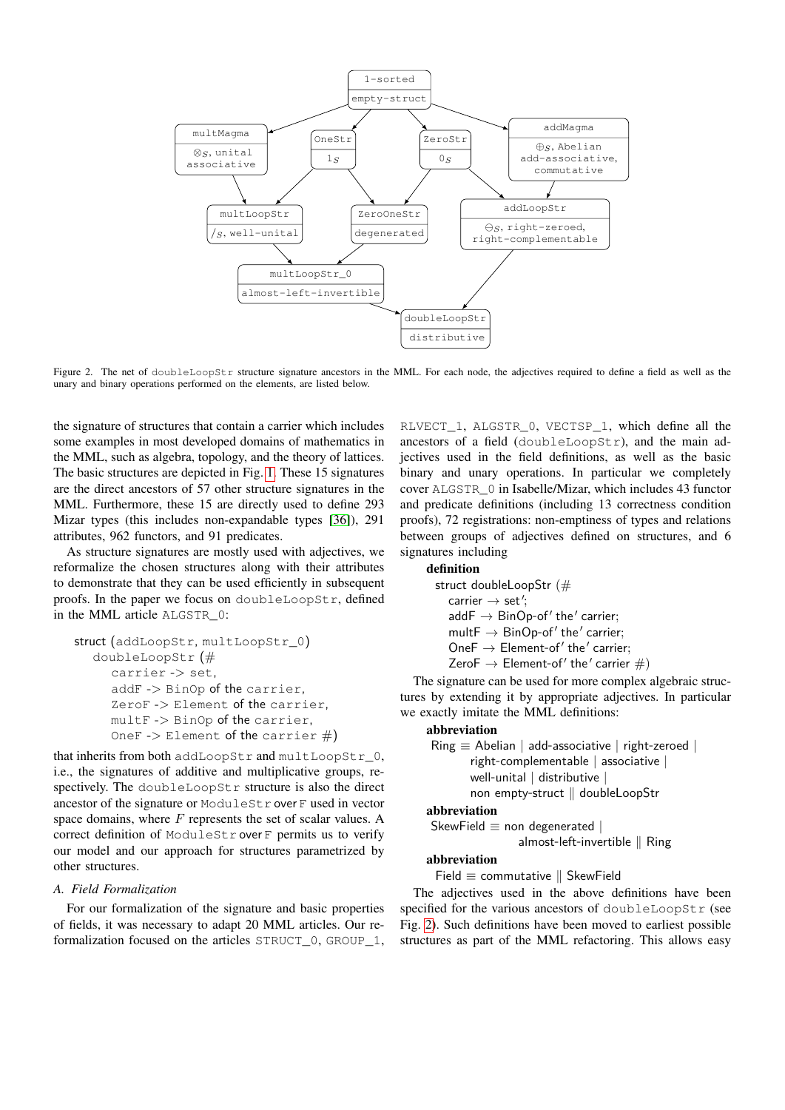

<span id="page-5-0"></span>Figure 2. The net of doubleLoopStr structure signature ancestors in the MML. For each node, the adjectives required to define a field as well as the unary and binary operations performed on the elements, are listed below.

the signature of structures that contain a carrier which includes some examples in most developed domains of mathematics in the MML, such as algebra, topology, and the theory of lattices. The basic structures are depicted in Fig. [1.](#page-4-1) These 15 signatures are the direct ancestors of 57 other structure signatures in the MML. Furthermore, these 15 are directly used to define 293 Mizar types (this includes non-expandable types [\[36\]](#page-9-3)), 291 attributes, 962 functors, and 91 predicates.

As structure signatures are mostly used with adjectives, we reformalize the chosen structures along with their attributes to demonstrate that they can be used efficiently in subsequent proofs. In the paper we focus on doubleLoopStr, defined in the MML article ALGSTR\_0:

```
struct (addLoopStr, multLoopStr_0)
  doubleLoopStr (#
     carrier -> set,
     addF -> BinOp of the carrier,
     ZeroF -> Element of the carrier,
     multF -> BinOp of the carrier,
     OneF -> Element of the carrier #)
```
that inherits from both addLoopStr and multLoopStr\_0, i.e., the signatures of additive and multiplicative groups, respectively. The doubleLoopStr structure is also the direct ancestor of the signature or ModuleStr over F used in vector space domains, where  $F$  represents the set of scalar values. A correct definition of ModuleStr over F permits us to verify our model and our approach for structures parametrized by other structures.

#### *A. Field Formalization*

For our formalization of the signature and basic properties of fields, it was necessary to adapt 20 MML articles. Our reformalization focused on the articles STRUCT\_0, GROUP\_1,

RLVECT\_1, ALGSTR\_0, VECTSP\_1, which define all the ancestors of a field (doubleLoopStr), and the main adjectives used in the field definitions, as well as the basic binary and unary operations. In particular we completely cover ALGSTR\_0 in Isabelle/Mizar, which includes 43 functor and predicate definitions (including 13 correctness condition proofs), 72 registrations: non-emptiness of types and relations between groups of adjectives defined on structures, and 6 signatures including

#### definition

struct doubleLoopStr (#  $\text{carrier} \rightarrow \text{set}';$  $addF \rightarrow BinOp-of'$  the' carrier;  $multF \rightarrow BinOp-of'$  the' carrier; OneF  $\rightarrow$  Element-of' the' carrier; ZeroF  $\rightarrow$  Element-of' the' carrier  $\#$ )

The signature can be used for more complex algebraic structures by extending it by appropriate adjectives. In particular we exactly imitate the MML definitions:

#### abbreviation

 $Ring \equiv$  Abelian | add-associative | right-zeroed | right-complementable | associative | well-unital | distributive | non empty-struct || doubleLoopStr

#### abbreviation

SkewField  $\equiv$  non degenerated  $|$ 

## almost-left-invertible  $\parallel$  Ring

## abbreviation

Field  $\equiv$  commutative  $\parallel$  SkewField

The adjectives used in the above definitions have been specified for the various ancestors of doubleLoopStr (see Fig. [2\)](#page-5-0). Such definitions have been moved to earliest possible structures as part of the MML refactoring. This allows easy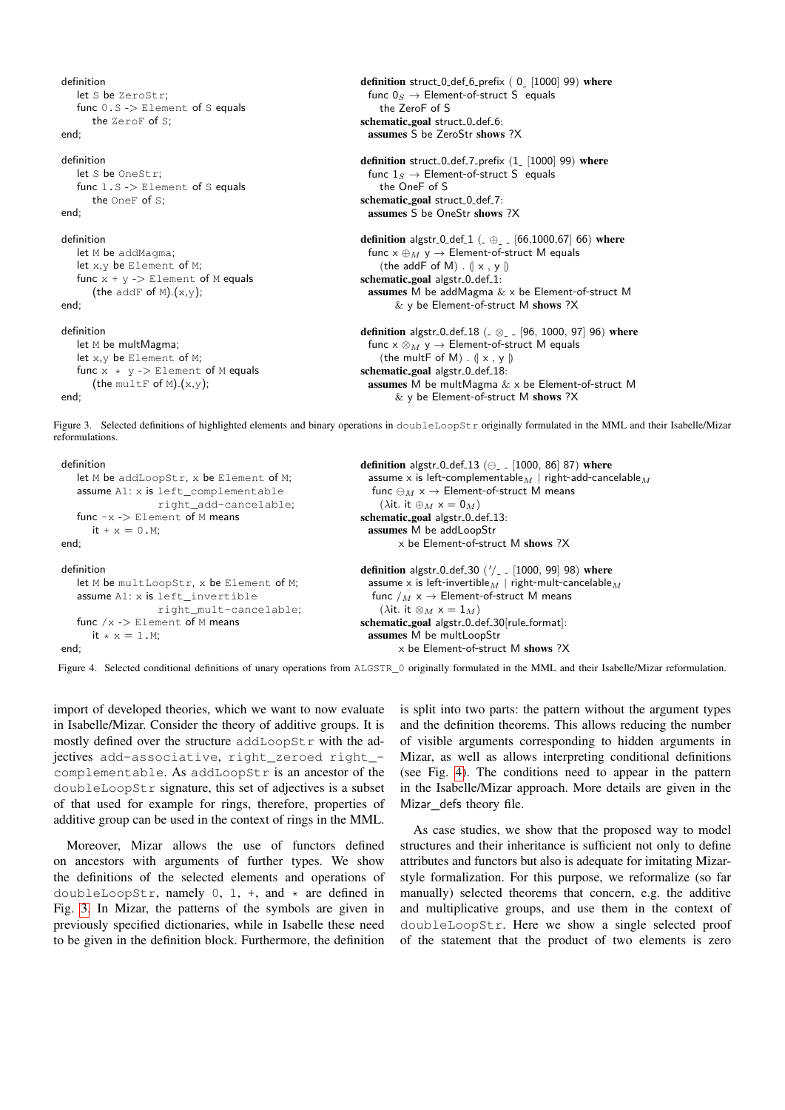```
definition
   let S be ZeroStr;
   func 0.S -> Element of S equals
       the ZeroF of S;
end;
definition
   let S be OneStri
   func 1.S -> Element of S equals
       the OneF of S;
end;
definition
   let M be addMagma;
   let x,y be Element of M;
   func x + y \rightarrow Element of M equals
       (the addF of M).(x,y);
end;
definition
   let M be multMagma;
   let x,y be Element of M;
   func x * y -> Element of M equals
       (the multF of M).(x,y);
end;
                                                                     definition struct 0 def-6 prefix (0 - 1000] 99) where
                                                                       func 0_S \rightarrow Element-of-struct S equals
                                                                         the ZeroF of S
                                                                     schematic<sub>-goal</sub> struct<sub>-0-def-6:</sub>
                                                                      assumes S be ZeroStr shows ?X
                                                                     definition struct<sub>-0-def-7-prefix</sub> (1 - [1000] 99) where
                                                                       func 1_S \rightarrow Element-of-struct S equals
                                                                         the OneF of S
                                                                     schematic_goal struct_0_def_7:
                                                                      assumes S be OneStr shows ?X
                                                                     definition algstr<sub>-0-</sub>def<sub>-1</sub> (\oplus<sub>--</sub> [66,1000,67] 66) where
                                                                       func x \oplus_M y \rightarrow Element-of-struct M equals
                                                                         (the addF of M) . (| \times , \vee |)schematic_goal algstr_0_def_1:
                                                                      assumes M be addMagma & x be Element-of-struct M
                                                                             & y be Element-of-struct M shows ?X
                                                                     definition algstr<sub>-0-</sub>def<sub>-18</sub> (\alpha \alpha<sub>-</sub> [96, 1000, 97] 96) where
                                                                       func x \otimes_M y \rightarrow Element-of-struct M equals
                                                                         (the multF of M) . (| \times , y |)schematic_goal algstr_0_def_18:
                                                                       assumes M be multMagma & x be Element-of-struct M
                                                                             & y be Element-of-struct M shows ?X
```
<span id="page-6-0"></span>Figure 3. Selected definitions of highlighted elements and binary operations in doubleLoopStr originally formulated in the MML and their Isabelle/Mizar reformulations.

```
definition
   let M be addLoopStr, x be Element of M;
   assume A1: x is left_complementable
                    right_add-cancelable;
   func -x -> Element of M means
      it + v = 0 M<sup>\cdot</sup>
end;
definition
   let M be multLoopStr, x be Element of M;
   assume A1: x is left_invertible
                     right_mult-cancelable;
   func /x -> Element of M means
      it * x = 1.M;
end;
                                                                  definition algstr<sub>-0-def-13 (\ominus_{-}- [1000, 86] 87) where</sub>
                                                                    assume x is left-complementable M \mid right-add-cancelable Mfunc \ominus_M x \rightarrow Element-of-struct M means
                                                                      (\lambdait. it \oplus_M x = 0_M)
                                                                  schematic_goal algstr_0_def_13:
                                                                    assumes M be addLoopStr
                                                                           x be Element-of-struct M shows ?X
                                                                  definition algstr_0_def_30 (\frac{\prime}{\prime} <sub>-</sub> [1000, 99] 98) where
                                                                    assume x is left-invertible_M | right-mult-cancelable_Mfunc /M \times \rightarrow Element-of-struct M means
                                                                       (\lambdait. it \otimes_M x = 1_M)
                                                                  schematic-goal algstr-0-def-30[rule-
format]:
                                                                    assumes M be multLoopStr
                                                                          x be Element-of-struct M shows ?X
```
<span id="page-6-1"></span>Figure 4. Selected conditional definitions of unary operations from ALGSTR\_0 originally formulated in the MML and their Isabelle/Mizar reformulation.

import of developed theories, which we want to now evaluate in Isabelle/Mizar. Consider the theory of additive groups. It is mostly defined over the structure addLoopStr with the adjectives add-associative, right\_zeroed right\_ complementable. As addLoopStr is an ancestor of the doubleLoopStr signature, this set of adjectives is a subset of that used for example for rings, therefore, properties of additive group can be used in the context of rings in the MML.

Moreover, Mizar allows the use of functors defined on ancestors with arguments of further types. We show the definitions of the selected elements and operations of doubleLoopStr, namely  $0, 1, +$ , and  $*$  are defined in Fig. [3.](#page-6-0) In Mizar, the patterns of the symbols are given in previously specified dictionaries, while in Isabelle these need to be given in the definition block. Furthermore, the definition is split into two parts: the pattern without the argument types and the definition theorems. This allows reducing the number of visible arguments corresponding to hidden arguments in Mizar, as well as allows interpreting conditional definitions (see Fig. [4\)](#page-6-1). The conditions need to appear in the pattern in the Isabelle/Mizar approach. More details are given in the Mizar\_defs theory file.

As case studies, we show that the proposed way to model structures and their inheritance is sufficient not only to define attributes and functors but also is adequate for imitating Mizarstyle formalization. For this purpose, we reformalize (so far manually) selected theorems that concern, e.g. the additive and multiplicative groups, and use them in the context of doubleLoopStr. Here we show a single selected proof of the statement that the product of two elements is zero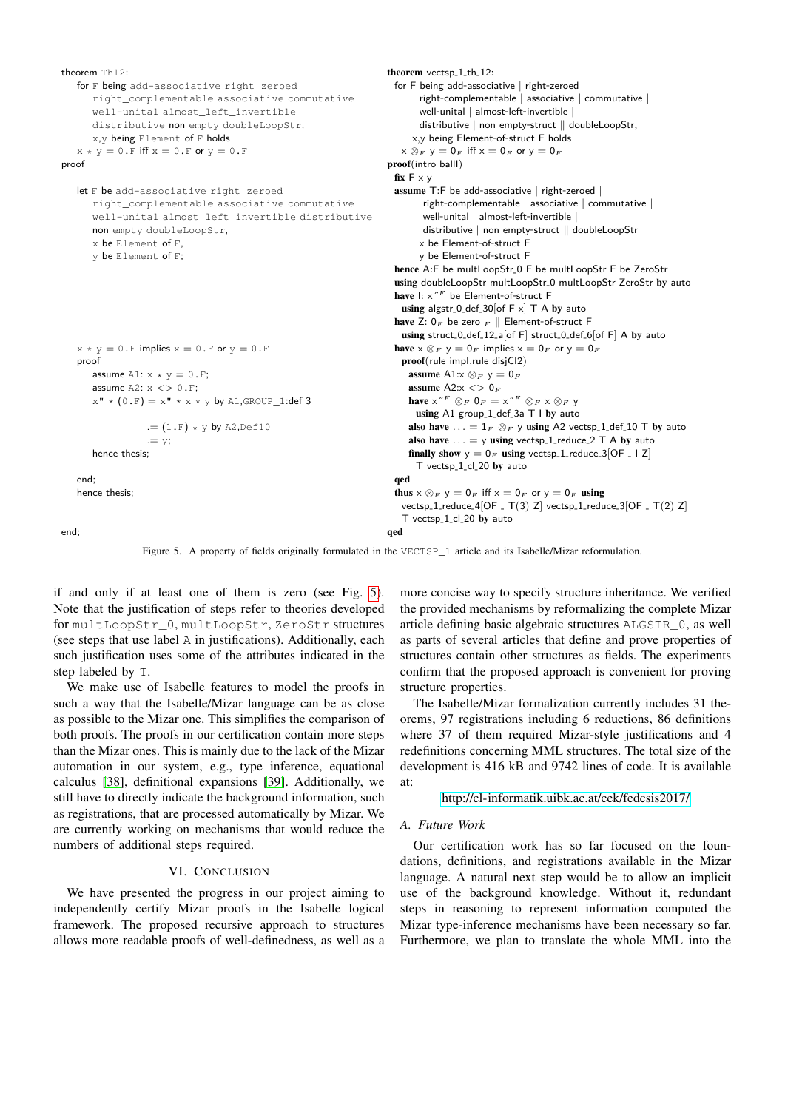```
theorem Th12:
    for F being add-associative right zeroed
        right_complementable associative commutative
        well-unital almost_left_invertible
        distributive non empty doubleLoopStr,
        x,y being Element of F holds
    x * y = 0.F iff x = 0.F or y = 0.Fproof
    let F be add-associative right zeroed
        right_complementable associative commutative
        well-unital almost_left_invertible distributive
        non empty doubleLoopStr,
        x be Element of F,
        y be Element of F;
    x \times y = 0. F implies x = 0. F or y = 0. F
    proof
        assume A1: x * v = 0.F:
        assume A2: x \leq 0.F;x'' * (0.F) = x'' * x * y by A1, GROUP_1:def 3
                       .=(1.F)*y by A2, Def10
                       := vhence thesis;
    end;
    hence thesis;
end;
                                                                                          theorem vectsp<sub>-1-th-12</sub>:
                                                                                            for F being add-associative | right-zeroed |
                                                                                                  right-complementable | associative | commutative |
                                                                                                  well-unital | almost-left-invertible |
                                                                                                  distributive | non empty-struct || doubleLoopStr,
                                                                                                x,y being Element-of-struct F holds
                                                                                              x \otimes_F y = 0_F iff x = 0_F or y = 0_Fproof(intro ballI)
                                                                                            fix F \times yassume T:F be add-associative | right-zeroed |
                                                                                                    right-complementable | associative | commutative |
                                                                                                    well-unital | almost-left-invertible |
                                                                                                    distributive | non empty-struct || doubleLoopStr
                                                                                                  x be Element-of-struct F
                                                                                                  y be Element-of-struct F
                                                                                            hence A:F be multLoopStr-0 F be multLoopStr F be ZeroStr
                                                                                            using doubleLoopStr multLoopStr_0 multLoopStr ZeroStr by auto
                                                                                            have \mathsf{I}: \times''^F be Element-of-struct F
                                                                                              using algstr_0_def_30[of F \times] T A by auto
                                                                                            have Z: 0_F be zero _F | Element-of-struct F
                                                                                              using struct_0_def_12_a[of F] struct_0_def_6[of F] A by auto
                                                                                           have x \otimes_F y = 0_F implies x = 0_F or y = 0_Fproof(rule impI,rule disjCI2)
                                                                                               assume A1:x \otimes_F y = 0assume A2:x < 0_Fhave x''^F \otimes_F 0_F = x''^F \otimes_F x \otimes_F yusing A1 group<sub>-1-def-3a</sub> T I by auto
                                                                                                also have \ldots = 1_F \otimes_F y using A2 vectsp_1_def_10 T by auto
                                                                                                also have \ldots = y using vectsp<sub>-1-reduce-2</sub> T A by auto
                                                                                                finally show y = 0_F using vectsp<sub>-1-reduce-3</sub> [OF - 1 Z]
                                                                                                  T vectsp<sub>1cl20</sub> by auto
                                                                                            qed
                                                                                            thus x \otimes_F y = 0_F iff x = 0_F or y = 0_F using
                                                                                              vectors p_1_{reduce_4[OF_T(T(3) Z] \text{ vectors } p_1_{reduce_3[OF_T(T(2) Z] \text{ vertices } P_1(P_2) \text{ vertices } P_2(P_3) \text{ vertices } P_3(P_4) \text{ vertices } P_4(P_5) \text{ vertices } P_5 \text{ vertices } P_6 \text{ vertices } P_6 \text{ vertices } P_7 \text{ vertices } P_7 \text{ vertices } P_8 \text{ vertices } P_1 \text{ vertices } P_6 \text{ vertices } P_1 \text{ vertices } P_1 \text{ vertices } P_1 \text{ vertices } P_1 \text{ vertices } P_1 \text{ vertices } P_1 \text{ vertices } P_1 \text{ vertices } P_1 \text{T vectsp<sub>1cl20</sub> by auto
                                                                                          qed
```
<span id="page-7-0"></span>

if and only if at least one of them is zero (see Fig. [5\)](#page-7-0). Note that the justification of steps refer to theories developed for multLoopStr\_0, multLoopStr, ZeroStr structures (see steps that use label A in justifications). Additionally, each such justification uses some of the attributes indicated in the step labeled by T.

We make use of Isabelle features to model the proofs in such a way that the Isabelle/Mizar language can be as close as possible to the Mizar one. This simplifies the comparison of both proofs. The proofs in our certification contain more steps than the Mizar ones. This is mainly due to the lack of the Mizar automation in our system, e.g., type inference, equational calculus [\[38\]](#page-9-5), definitional expansions [\[39\]](#page-9-6). Additionally, we still have to directly indicate the background information, such as registrations, that are processed automatically by Mizar. We are currently working on mechanisms that would reduce the numbers of additional steps required.

#### VI. CONCLUSION

We have presented the progress in our project aiming to independently certify Mizar proofs in the Isabelle logical framework. The proposed recursive approach to structures allows more readable proofs of well-definedness, as well as a

more concise way to specify structure inheritance. We verified the provided mechanisms by reformalizing the complete Mizar article defining basic algebraic structures ALGSTR\_0, as well as parts of several articles that define and prove properties of structures contain other structures as fields. The experiments confirm that the proposed approach is convenient for proving structure properties.

The Isabelle/Mizar formalization currently includes 31 theorems, 97 registrations including 6 reductions, 86 definitions where 37 of them required Mizar-style justifications and 4 redefinitions concerning MML structures. The total size of the development is 416 kB and 9742 lines of code. It is available at:

<http://cl-informatik.uibk.ac.at/cek/fedcsis2017/>

#### *A. Future Work*

Our certification work has so far focused on the foundations, definitions, and registrations available in the Mizar language. A natural next step would be to allow an implicit use of the background knowledge. Without it, redundant steps in reasoning to represent information computed the Mizar type-inference mechanisms have been necessary so far. Furthermore, we plan to translate the whole MML into the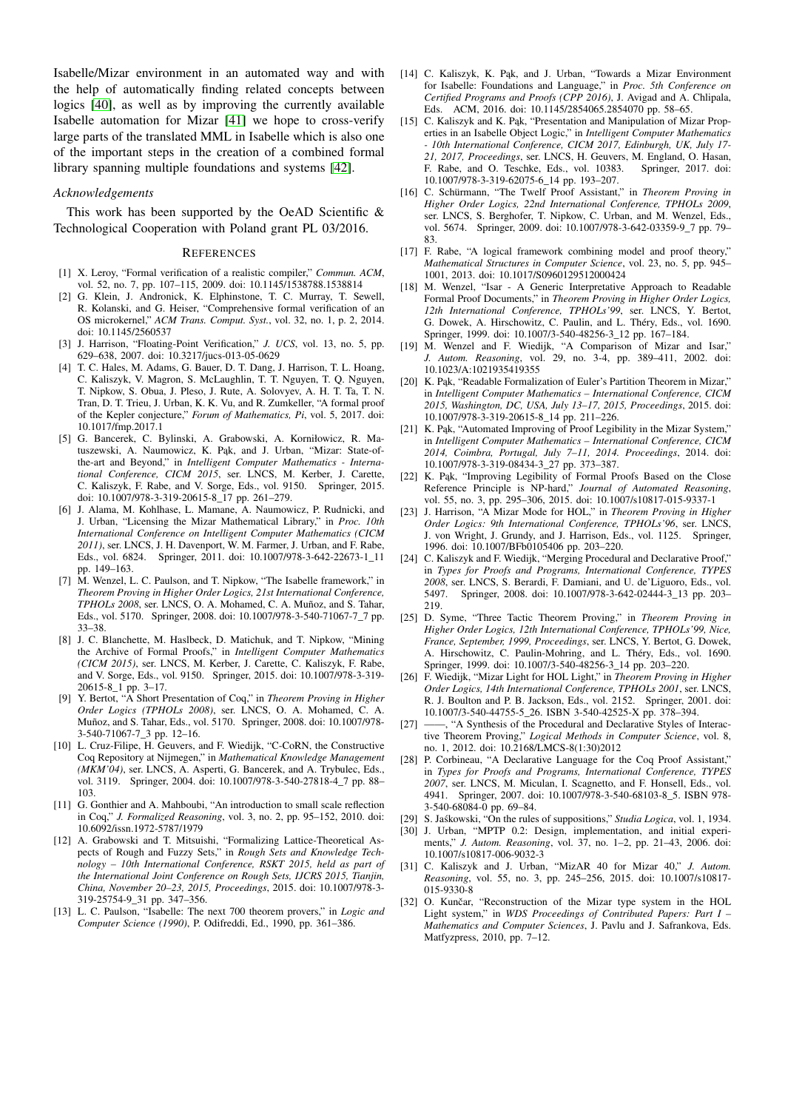Isabelle/Mizar environment in an automated way and with the help of automatically finding related concepts between logics [\[40\]](#page-9-7), as well as by improving the currently available Isabelle automation for Mizar [\[41\]](#page-9-8) we hope to cross-verify large parts of the translated MML in Isabelle which is also one of the important steps in the creation of a combined formal library spanning multiple foundations and systems [\[42\]](#page-9-9).

#### *Acknowledgements*

This work has been supported by the OeAD Scientific  $\&$ Technological Cooperation with Poland grant PL 03/2016.

#### **REFERENCES**

- <span id="page-8-0"></span>[1] X. Leroy, "Formal verification of a realistic compiler," *Commun. ACM*, vol. 52, no. 7, pp. 107–115, 2009. doi: 10.1145/1538788.1538814
- <span id="page-8-1"></span>[2] G. Klein, J. Andronick, K. Elphinstone, T. C. Murray, T. Sewell, R. Kolanski, and G. Heiser, "Comprehensive formal verification of an OS microkernel," *ACM Trans. Comput. Syst.*, vol. 32, no. 1, p. 2, 2014. doi: 10.1145/2560537
- <span id="page-8-2"></span>[3] J. Harrison, "Floating-Point Verification," *J. UCS*, vol. 13, no. 5, pp. 629–638, 2007. doi: 10.3217/jucs-013-05-0629
- <span id="page-8-3"></span>[4] T. C. Hales, M. Adams, G. Bauer, D. T. Dang, J. Harrison, T. L. Hoang, C. Kaliszyk, V. Magron, S. McLaughlin, T. T. Nguyen, T. Q. Nguyen, T. Nipkow, S. Obua, J. Pleso, J. Rute, A. Solovyev, A. H. T. Ta, T. N. Tran, D. T. Trieu, J. Urban, K. K. Vu, and R. Zumkeller, "A formal proof of the Kepler conjecture," *Forum of Mathematics, Pi*, vol. 5, 2017. doi: 10.1017/fmp.2017.1
- <span id="page-8-4"></span>[5] G. Bancerek, C. Bylinski, A. Grabowski, A. Korniłowicz, R. Matuszewski, A. Naumowicz, K. Pąk, and J. Urban, "Mizar: State-ofthe-art and Beyond," in *Intelligent Computer Mathematics - International Conference, CICM 2015*, ser. LNCS, M. Kerber, J. Carette, C. Kaliszyk, F. Rabe, and V. Sorge, Eds., vol. 9150. Springer, 2015. doi: 10.1007/978-3-319-20615-8\_17 pp. 261–279.
- <span id="page-8-5"></span>[6] J. Alama, M. Kohlhase, L. Mamane, A. Naumowicz, P. Rudnicki, and J. Urban, "Licensing the Mizar Mathematical Library," in *Proc. 10th International Conference on Intelligent Computer Mathematics (CICM 2011)*, ser. LNCS, J. H. Davenport, W. M. Farmer, J. Urban, and F. Rabe, Eds., vol. 6824. Springer, 2011. doi: 10.1007/978-3-642-22673-1\_11 pp. 149–163.
- <span id="page-8-6"></span>[7] M. Wenzel, L. C. Paulson, and T. Nipkow, "The Isabelle framework," in *Theorem Proving in Higher Order Logics, 21st International Conference, TPHOLs 2008*, ser. LNCS, O. A. Mohamed, C. A. Muñoz, and S. Tahar, Eds., vol. 5170. Springer, 2008. doi: 10.1007/978-3-540-71067-7\_7 pp. 33–38.
- <span id="page-8-7"></span>[8] J. C. Blanchette, M. Haslbeck, D. Matichuk, and T. Nipkow, "Mining the Archive of Formal Proofs," in *Intelligent Computer Mathematics (CICM 2015)*, ser. LNCS, M. Kerber, J. Carette, C. Kaliszyk, F. Rabe, and V. Sorge, Eds., vol. 9150. Springer, 2015. doi: 10.1007/978-3-319- 20615-8\_1 pp. 3–17.
- <span id="page-8-8"></span>[9] Y. Bertot, "A Short Presentation of Coq," in *Theorem Proving in Higher Order Logics (TPHOLs 2008)*, ser. LNCS, O. A. Mohamed, C. A. Muñoz, and S. Tahar, Eds., vol. 5170. Springer, 2008. doi: 10.1007/978- 3-540-71067-7\_3 pp. 12–16.
- <span id="page-8-9"></span>[10] L. Cruz-Filipe, H. Geuvers, and F. Wiedijk, "C-CoRN, the Constructive Coq Repository at Nijmegen," in *Mathematical Knowledge Management (MKM'04)*, ser. LNCS, A. Asperti, G. Bancerek, and A. Trybulec, Eds., vol. 3119. Springer, 2004. doi: 10.1007/978-3-540-27818-4\_7 pp. 88– 103.
- <span id="page-8-10"></span>[11] G. Gonthier and A. Mahboubi, "An introduction to small scale reflection in Coq," *J. Formalized Reasoning*, vol. 3, no. 2, pp. 95–152, 2010. doi: 10.6092/issn.1972-5787/1979
- <span id="page-8-11"></span>[12] A. Grabowski and T. Mitsuishi, "Formalizing Lattice-Theoretical Aspects of Rough and Fuzzy Sets," in *Rough Sets and Knowledge Technology – 10th International Conference, RSKT 2015, held as part of the International Joint Conference on Rough Sets, IJCRS 2015, Tianjin, China, November 20–23, 2015, Proceedings*, 2015. doi: 10.1007/978-3- 319-25754-9\_31 pp. 347–356.
- <span id="page-8-12"></span>[13] L. C. Paulson, "Isabelle: The next 700 theorem provers," in *Logic and Computer Science (1990)*, P. Odifreddi, Ed., 1990, pp. 361–386.
- <span id="page-8-13"></span>[14] C. Kaliszyk, K. Pak, and J. Urban, "Towards a Mizar Environment for Isabelle: Foundations and Language," in *Proc. 5th Conference on Certified Programs and Proofs (CPP 2016)*, J. Avigad and A. Chlipala, Eds. ACM, 2016. doi: 10.1145/2854065.2854070 pp. 58–65.
- <span id="page-8-14"></span>[15] C. Kaliszyk and K. Pak, "Presentation and Manipulation of Mizar Properties in an Isabelle Object Logic," in *Intelligent Computer Mathematics - 10th International Conference, CICM 2017, Edinburgh, UK, July 17- 21, 2017, Proceedings*, ser. LNCS, H. Geuvers, M. England, O. Hasan, F. Rabe, and O. Teschke, Eds., vol. 10383. Springer, 2017. doi: 10.1007/978-3-319-62075-6\_14 pp. 193–207.
- <span id="page-8-15"></span>[16] C. Schürmann, "The Twelf Proof Assistant," in *Theorem Proving in Higher Order Logics, 22nd International Conference, TPHOLs 2009*, ser. LNCS, S. Berghofer, T. Nipkow, C. Urban, and M. Wenzel, Eds., vol. 5674. Springer, 2009. doi: 10.1007/978-3-642-03359-9\_7 pp. 79– 83.
- <span id="page-8-16"></span>[17] F. Rabe, "A logical framework combining model and proof theory," *Mathematical Structures in Computer Science*, vol. 23, no. 5, pp. 945– 1001, 2013. doi: 10.1017/S0960129512000424
- <span id="page-8-17"></span>[18] M. Wenzel, "Isar - A Generic Interpretative Approach to Readable Formal Proof Documents," in *Theorem Proving in Higher Order Logics, 12th International Conference, TPHOLs'99*, ser. LNCS, Y. Bertot, G. Dowek, A. Hirschowitz, C. Paulin, and L. Théry, Eds., vol. 1690. Springer, 1999. doi: 10.1007/3-540-48256-3\_12 pp. 167–184.
- <span id="page-8-18"></span>[19] M. Wenzel and F. Wiedijk, "A Comparison of Mizar and Isar," *J. Autom. Reasoning*, vol. 29, no. 3-4, pp. 389–411, 2002. doi: 10.1023/A:1021935419355
- <span id="page-8-19"></span>[20] K. Pak, "Readable Formalization of Euler's Partition Theorem in Mizar," in *Intelligent Computer Mathematics – International Conference, CICM 2015, Washington, DC, USA, July 13–17, 2015, Proceedings*, 2015. doi: 10.1007/978-3-319-20615-8\_14 pp. 211–226.
- <span id="page-8-20"></span>[21] K. Pak, "Automated Improving of Proof Legibility in the Mizar System," in *Intelligent Computer Mathematics – International Conference, CICM 2014, Coimbra, Portugal, July 7–11, 2014. Proceedings*, 2014. doi: 10.1007/978-3-319-08434-3\_27 pp. 373–387.
- <span id="page-8-21"></span>[22] K. Pak, "Improving Legibility of Formal Proofs Based on the Close Reference Principle is NP-hard," *Journal of Automated Reasoning*, vol. 55, no. 3, pp. 295–306, 2015. doi: 10.1007/s10817-015-9337-1
- <span id="page-8-22"></span>[23] J. Harrison, "A Mizar Mode for HOL," in *Theorem Proving in Higher Order Logics: 9th International Conference, TPHOLs'96*, ser. LNCS, J. von Wright, J. Grundy, and J. Harrison, Eds., vol. 1125. Springer, 1996. doi: 10.1007/BFb0105406 pp. 203–220.
- <span id="page-8-23"></span>[24] C. Kaliszyk and F. Wiedijk, "Merging Procedural and Declarative Proof," in *Types for Proofs and Programs, International Conference, TYPES 2008*, ser. LNCS, S. Berardi, F. Damiani, and U. de'Liguoro, Eds., vol. 5497. Springer, 2008. doi: 10.1007/978-3-642-02444-3\_13 pp. 203– 219.
- <span id="page-8-24"></span>[25] D. Syme, "Three Tactic Theorem Proving," in *Theorem Proving in Higher Order Logics, 12th International Conference, TPHOLs'99, Nice, France, September, 1999, Proceedings*, ser. LNCS, Y. Bertot, G. Dowek, A. Hirschowitz, C. Paulin-Mohring, and L. Théry, Eds., vol. 1690. Springer, 1999. doi: 10.1007/3-540-48256-3\_14 pp. 203–220.
- <span id="page-8-25"></span>[26] F. Wiedijk, "Mizar Light for HOL Light," in *Theorem Proving in Higher Order Logics, 14th International Conference, TPHOLs 2001*, ser. LNCS, R. J. Boulton and P. B. Jackson, Eds., vol. 2152. Springer, 2001. doi: 10.1007/3-540-44755-5\_26. ISBN 3-540-42525-X pp. 378–394.
- <span id="page-8-26"></span>[27] ——, "A Synthesis of the Procedural and Declarative Styles of Interactive Theorem Proving," *Logical Methods in Computer Science*, vol. 8, no. 1, 2012. doi: 10.2168/LMCS-8(1:30)2012
- <span id="page-8-27"></span>[28] P. Corbineau, "A Declarative Language for the Coq Proof Assistant," in *Types for Proofs and Programs, International Conference, TYPES 2007*, ser. LNCS, M. Miculan, I. Scagnetto, and F. Honsell, Eds., vol. 4941. Springer, 2007. doi: 10.1007/978-3-540-68103-8\_5. ISBN 978- 3-540-68084-0 pp. 69–84.
- <span id="page-8-28"></span>[29] S. Jaskowski, "On the rules of suppositions," ´ *Studia Logica*, vol. 1, 1934.
- <span id="page-8-29"></span>[30] J. Urban, "MPTP 0.2: Design, implementation, and initial experiments," *J. Autom. Reasoning*, vol. 37, no. 1–2, pp. 21–43, 2006. doi: 10.1007/s10817-006-9032-3
- <span id="page-8-30"></span>[31] C. Kaliszyk and J. Urban, "MizAR 40 for Mizar 40," *J. Autom. Reasoning*, vol. 55, no. 3, pp. 245–256, 2015. doi: 10.1007/s10817- 015-9330-8
- <span id="page-8-31"></span>[32] O. Kunčar, "Reconstruction of the Mizar type system in the HOL Light system," in *WDS Proceedings of Contributed Papers: Part I – Mathematics and Computer Sciences*, J. Pavlu and J. Safrankova, Eds. Matfyzpress, 2010, pp. 7–12.